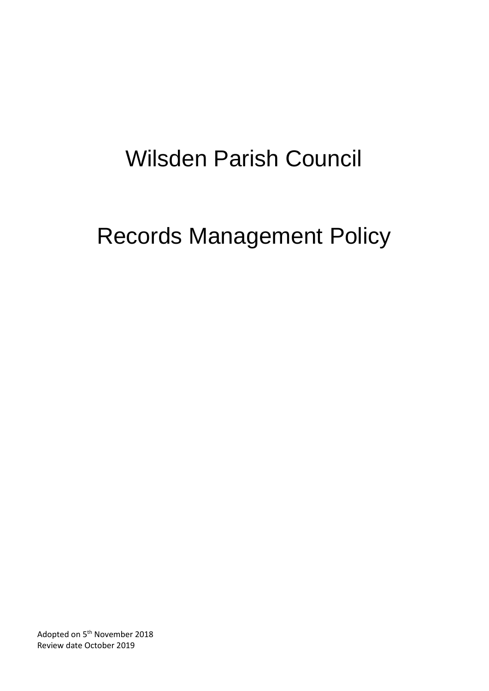## Wilsden Parish Council

# Records Management Policy

Adopted on 5<sup>th</sup> November 2018 Review date October 2019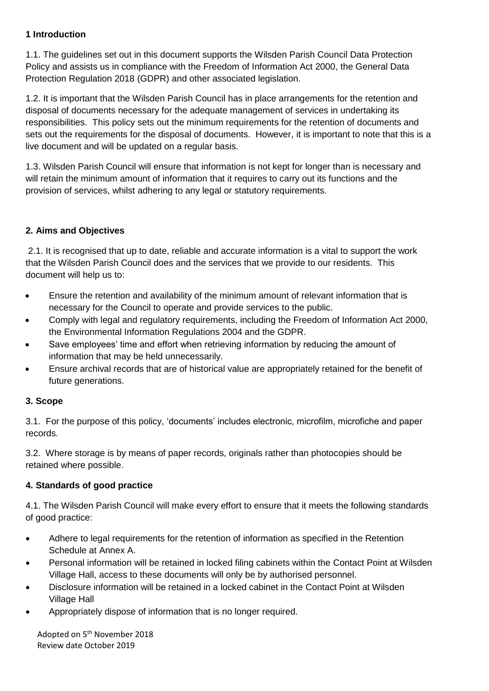## **1 Introduction**

1.1. The guidelines set out in this document supports the Wilsden Parish Council Data Protection Policy and assists us in compliance with the Freedom of Information Act 2000, the General Data Protection Regulation 2018 (GDPR) and other associated legislation.

1.2. It is important that the Wilsden Parish Council has in place arrangements for the retention and disposal of documents necessary for the adequate management of services in undertaking its responsibilities. This policy sets out the minimum requirements for the retention of documents and sets out the requirements for the disposal of documents. However, it is important to note that this is a live document and will be updated on a regular basis.

1.3. Wilsden Parish Council will ensure that information is not kept for longer than is necessary and will retain the minimum amount of information that it requires to carry out its functions and the provision of services, whilst adhering to any legal or statutory requirements.

## **2. Aims and Objectives**

2.1. It is recognised that up to date, reliable and accurate information is a vital to support the work that the Wilsden Parish Council does and the services that we provide to our residents. This document will help us to:

- Ensure the retention and availability of the minimum amount of relevant information that is necessary for the Council to operate and provide services to the public.
- Comply with legal and regulatory requirements, including the Freedom of Information Act 2000, the Environmental Information Regulations 2004 and the GDPR.
- Save employees' time and effort when retrieving information by reducing the amount of information that may be held unnecessarily.
- Ensure archival records that are of historical value are appropriately retained for the benefit of future generations.

#### **3. Scope**

3.1. For the purpose of this policy, 'documents' includes electronic, microfilm, microfiche and paper records.

3.2. Where storage is by means of paper records, originals rather than photocopies should be retained where possible.

## **4. Standards of good practice**

4.1. The Wilsden Parish Council will make every effort to ensure that it meets the following standards of good practice:

- Adhere to legal requirements for the retention of information as specified in the Retention Schedule at Annex A.
- Personal information will be retained in locked filing cabinets within the Contact Point at Wilsden Village Hall, access to these documents will only be by authorised personnel.
- Disclosure information will be retained in a locked cabinet in the Contact Point at Wilsden Village Hall
- Appropriately dispose of information that is no longer required.

Adopted on 5<sup>th</sup> November 2018 Review date October 2019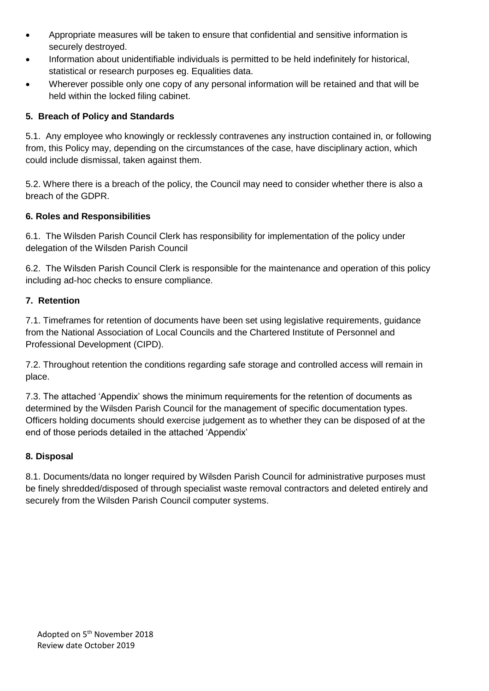- Appropriate measures will be taken to ensure that confidential and sensitive information is securely destroyed.
- Information about unidentifiable individuals is permitted to be held indefinitely for historical, statistical or research purposes eg. Equalities data.
- Wherever possible only one copy of any personal information will be retained and that will be held within the locked filing cabinet.

## **5. Breach of Policy and Standards**

5.1. Any employee who knowingly or recklessly contravenes any instruction contained in, or following from, this Policy may, depending on the circumstances of the case, have disciplinary action, which could include dismissal, taken against them.

5.2. Where there is a breach of the policy, the Council may need to consider whether there is also a breach of the GDPR.

#### **6. Roles and Responsibilities**

6.1. The Wilsden Parish Council Clerk has responsibility for implementation of the policy under delegation of the Wilsden Parish Council

6.2. The Wilsden Parish Council Clerk is responsible for the maintenance and operation of this policy including ad-hoc checks to ensure compliance.

## **7. Retention**

7.1. Timeframes for retention of documents have been set using legislative requirements, guidance from the National Association of Local Councils and the Chartered Institute of Personnel and Professional Development (CIPD).

7.2. Throughout retention the conditions regarding safe storage and controlled access will remain in place.

7.3. The attached 'Appendix' shows the minimum requirements for the retention of documents as determined by the Wilsden Parish Council for the management of specific documentation types. Officers holding documents should exercise judgement as to whether they can be disposed of at the end of those periods detailed in the attached 'Appendix'

#### **8. Disposal**

8.1. Documents/data no longer required by Wilsden Parish Council for administrative purposes must be finely shredded/disposed of through specialist waste removal contractors and deleted entirely and securely from the Wilsden Parish Council computer systems.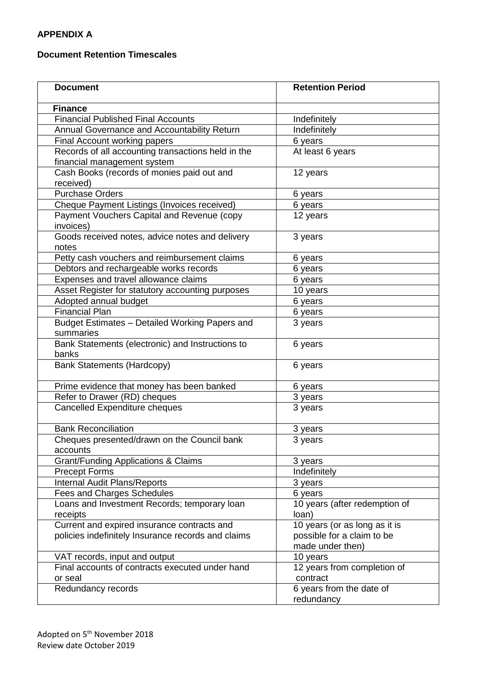## **APPENDIX A**

#### **Document Retention Timescales**

| <b>Document</b>                                                                                   | <b>Retention Period</b>                                                         |
|---------------------------------------------------------------------------------------------------|---------------------------------------------------------------------------------|
| <b>Finance</b>                                                                                    |                                                                                 |
| <b>Financial Published Final Accounts</b>                                                         | Indefinitely                                                                    |
| Annual Governance and Accountability Return                                                       | Indefinitely                                                                    |
| Final Account working papers                                                                      | 6 years                                                                         |
| Records of all accounting transactions held in the<br>financial management system                 | At least 6 years                                                                |
| Cash Books (records of monies paid out and<br>received)                                           | 12 years                                                                        |
| <b>Purchase Orders</b>                                                                            | 6 years                                                                         |
| Cheque Payment Listings (Invoices received)                                                       | 6 years                                                                         |
| Payment Vouchers Capital and Revenue (copy<br>invoices)                                           | 12 years                                                                        |
| Goods received notes, advice notes and delivery<br>notes                                          | 3 years                                                                         |
| Petty cash vouchers and reimbursement claims                                                      | 6 years                                                                         |
| Debtors and rechargeable works records                                                            | 6 years                                                                         |
| Expenses and travel allowance claims                                                              | 6 years                                                                         |
| Asset Register for statutory accounting purposes                                                  | 10 years                                                                        |
| Adopted annual budget                                                                             | 6 years                                                                         |
| <b>Financial Plan</b>                                                                             | 6 years                                                                         |
| Budget Estimates - Detailed Working Papers and<br>summaries                                       | 3 years                                                                         |
| Bank Statements (electronic) and Instructions to<br>banks                                         | 6 years                                                                         |
| <b>Bank Statements (Hardcopy)</b>                                                                 | 6 years                                                                         |
| Prime evidence that money has been banked                                                         | 6 years                                                                         |
| Refer to Drawer (RD) cheques                                                                      | 3 years                                                                         |
| Cancelled Expenditure cheques                                                                     | 3 years                                                                         |
| <b>Bank Reconciliation</b>                                                                        | 3 years                                                                         |
| Cheques presented/drawn on the Council bank<br>accounts                                           | 3 years                                                                         |
| <b>Grant/Funding Applications &amp; Claims</b>                                                    | 3 years                                                                         |
| <b>Precept Forms</b>                                                                              | Indefinitely                                                                    |
| <b>Internal Audit Plans/Reports</b>                                                               | 3 years                                                                         |
| <b>Fees and Charges Schedules</b>                                                                 | 6 years                                                                         |
| Loans and Investment Records; temporary loan<br>receipts                                          | 10 years (after redemption of<br>loan)                                          |
| Current and expired insurance contracts and<br>policies indefinitely Insurance records and claims | 10 years (or as long as it is<br>possible for a claim to be<br>made under then) |
| VAT records, input and output                                                                     | 10 years                                                                        |
| Final accounts of contracts executed under hand<br>or seal                                        | 12 years from completion of<br>contract                                         |
| Redundancy records                                                                                | 6 years from the date of<br>redundancy                                          |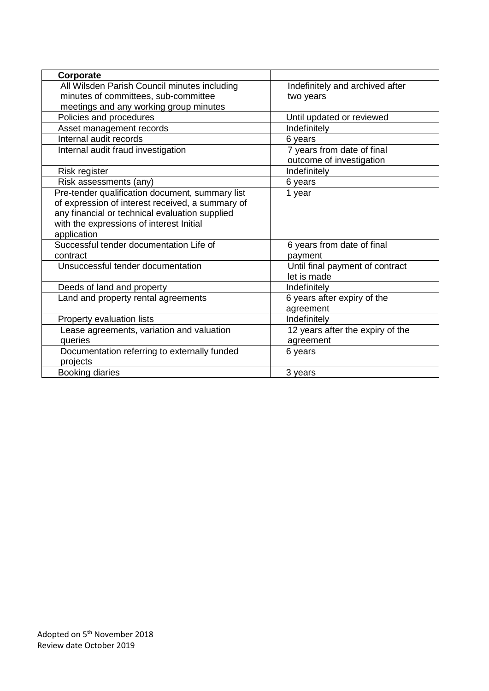| Corporate                                        |                                  |
|--------------------------------------------------|----------------------------------|
| All Wilsden Parish Council minutes including     | Indefinitely and archived after  |
| minutes of committees, sub-committee             | two years                        |
| meetings and any working group minutes           |                                  |
| Policies and procedures                          | Until updated or reviewed        |
| Asset management records                         | Indefinitely                     |
| Internal audit records                           | 6 years                          |
| Internal audit fraud investigation               | 7 years from date of final       |
|                                                  | outcome of investigation         |
| Risk register                                    | Indefinitely                     |
| Risk assessments (any)                           | 6 years                          |
| Pre-tender qualification document, summary list  | 1 year                           |
| of expression of interest received, a summary of |                                  |
| any financial or technical evaluation supplied   |                                  |
| with the expressions of interest Initial         |                                  |
| application                                      |                                  |
| Successful tender documentation Life of          | 6 years from date of final       |
| contract                                         | payment                          |
| Unsuccessful tender documentation                | Until final payment of contract  |
|                                                  | let is made                      |
| Deeds of land and property                       | Indefinitely                     |
| Land and property rental agreements              | 6 years after expiry of the      |
|                                                  | agreement                        |
| Property evaluation lists                        | Indefinitely                     |
| Lease agreements, variation and valuation        | 12 years after the expiry of the |
| queries                                          | agreement                        |
| Documentation referring to externally funded     | 6 years                          |
| projects                                         |                                  |
| <b>Booking diaries</b>                           | 3 years                          |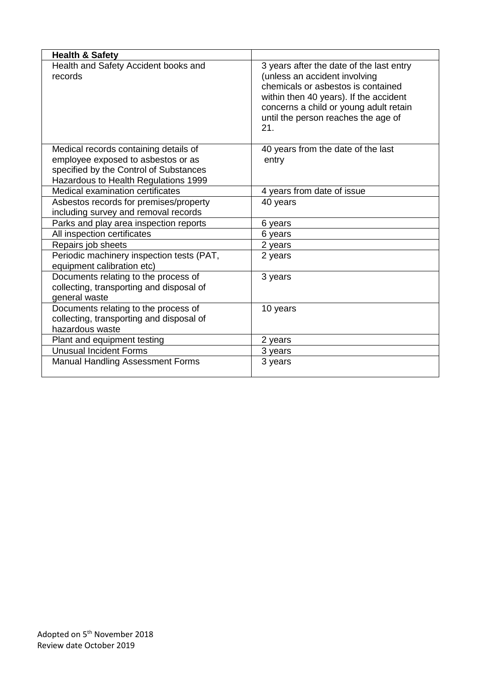| <b>Health &amp; Safety</b>                                               |                                                                                                                                                                                                                                                   |
|--------------------------------------------------------------------------|---------------------------------------------------------------------------------------------------------------------------------------------------------------------------------------------------------------------------------------------------|
| Health and Safety Accident books and<br>records                          | 3 years after the date of the last entry<br>(unless an accident involving<br>chemicals or asbestos is contained<br>within then 40 years). If the accident<br>concerns a child or young adult retain<br>until the person reaches the age of<br>21. |
| Medical records containing details of                                    | 40 years from the date of the last                                                                                                                                                                                                                |
| employee exposed to asbestos or as                                       | entry                                                                                                                                                                                                                                             |
| specified by the Control of Substances                                   |                                                                                                                                                                                                                                                   |
| Hazardous to Health Regulations 1999<br>Medical examination certificates | 4 years from date of issue                                                                                                                                                                                                                        |
| Asbestos records for premises/property                                   | 40 years                                                                                                                                                                                                                                          |
| including survey and removal records                                     |                                                                                                                                                                                                                                                   |
| Parks and play area inspection reports                                   | 6 years                                                                                                                                                                                                                                           |
| All inspection certificates                                              | 6 years                                                                                                                                                                                                                                           |
| Repairs job sheets                                                       | 2 years                                                                                                                                                                                                                                           |
| Periodic machinery inspection tests (PAT,<br>equipment calibration etc)  | 2 years                                                                                                                                                                                                                                           |
| Documents relating to the process of                                     | 3 years                                                                                                                                                                                                                                           |
| collecting, transporting and disposal of                                 |                                                                                                                                                                                                                                                   |
| general waste                                                            |                                                                                                                                                                                                                                                   |
| Documents relating to the process of                                     | 10 years                                                                                                                                                                                                                                          |
| collecting, transporting and disposal of                                 |                                                                                                                                                                                                                                                   |
| hazardous waste                                                          |                                                                                                                                                                                                                                                   |
| Plant and equipment testing<br><b>Unusual Incident Forms</b>             | 2 years                                                                                                                                                                                                                                           |
|                                                                          | 3 years                                                                                                                                                                                                                                           |
| <b>Manual Handling Assessment Forms</b>                                  | 3 years                                                                                                                                                                                                                                           |